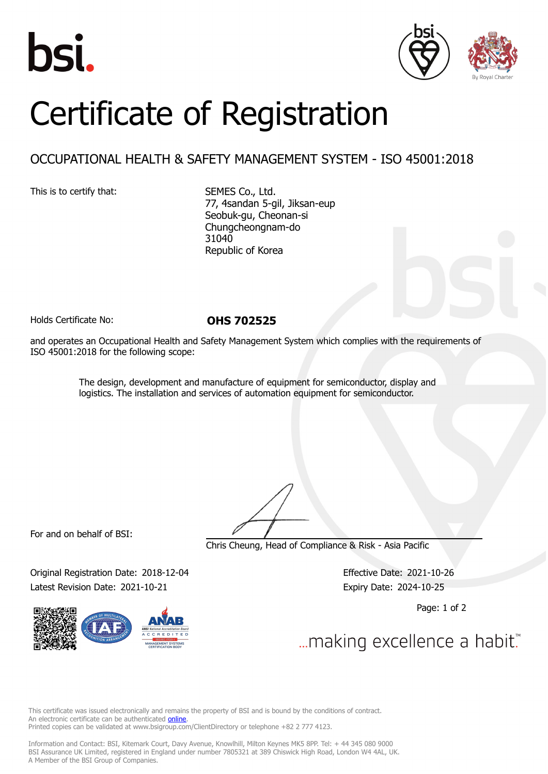





## Certificate of Registration

## OCCUPATIONAL HEALTH & SAFETY MANAGEMENT SYSTEM - ISO 45001:2018

This is to certify that: SEMES Co., Ltd.

77, 4sandan 5-gil, Jiksan-eup Seobuk-gu, Cheonan-si Chungcheongnam-do 31040 Republic of Korea

Holds Certificate No: **OHS 702525**

and operates an Occupational Health and Safety Management System which complies with the requirements of ISO 45001:2018 for the following scope:

> The design, development and manufacture of equipment for semiconductor, display and logistics. The installation and services of automation equipment for semiconductor.

For and on behalf of BSI:

Chris Cheung, Head of Compliance & Risk - Asia Pacific

Original Registration Date: 2018-12-04 Effective Date: 2021-10-26 Latest Revision Date: 2021-10-21 Expiry Date: 2024-10-25

Page: 1 of 2

... making excellence a habit."

This certificate was issued electronically and remains the property of BSI and is bound by the conditions of contract. An electronic certificate can be authenticated **[online](https://pgplus.bsigroup.com/CertificateValidation/CertificateValidator.aspx?CertificateNumber=OHS+702525&ReIssueDate=21%2f10%2f2021&Template=korea_en)**. Printed copies can be validated at www.bsigroup.com/ClientDirectory or telephone +82 2 777 4123.

Information and Contact: BSI, Kitemark Court, Davy Avenue, Knowlhill, Milton Keynes MK5 8PP. Tel: + 44 345 080 9000 BSI Assurance UK Limited, registered in England under number 7805321 at 389 Chiswick High Road, London W4 4AL, UK. A Member of the BSI Group of Companies.